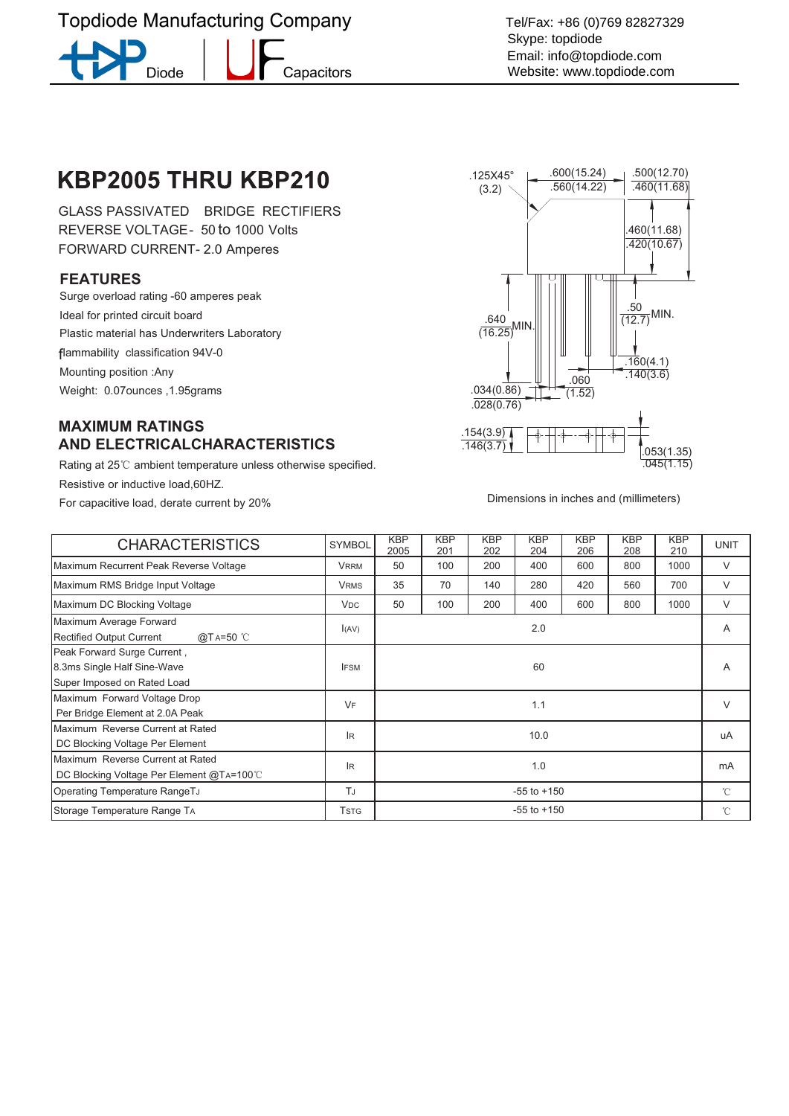# **Topdiode Manufacturing Company**

**Diode** 

Capacitors

Tel/Fax: +86 (0)769 82827329 Skype: topdiode Email: info@topdiode.com Website: www.topdiode.com

# KBP2005 THRU KBP210

GLASS PASSIVATED BRIDGE RECTIFIERS REVERSE VOLTAGE - 50 to 1000 Volts FORWARD CURRENT- 2.0 Amperes

#### **FEATURES**

Surge overload rating -60 amperes peak Ideal for printed circuit board Plastic material has Underwriters Laboratory flammability classification 94V-0 Mounting position :Any Weight: 0.07ounces ,1.95grams

### **MAXIMUM RATINGS AND ELECTRICALCHARACTERISTICS**

Rating at 25°C ambient temperature unless otherwise specified. Resistive or inductive load,60HZ. For capacitive load, derate current by 20% Dimensions in inches and (millimeters)



| <b>CHARACTERISTICS</b>                                                                    | <b>SYMBOL</b>         | <b>KBP</b><br>2005 | <b>KBP</b><br>201 | <b>KBP</b><br>202 | <b>KBP</b><br>204 | <b>KBP</b><br>206 | <b>KBP</b><br>208 | <b>KBP</b><br>210 | <b>UNIT</b>  |
|-------------------------------------------------------------------------------------------|-----------------------|--------------------|-------------------|-------------------|-------------------|-------------------|-------------------|-------------------|--------------|
| Maximum Recurrent Peak Reverse Voltage                                                    | <b>VRRM</b>           | 50                 | 100               | 200               | 400               | 600               | 800               | 1000              | V            |
| Maximum RMS Bridge Input Voltage                                                          | <b>VRMS</b>           | 35                 | 70                | 140               | 280               | 420               | 560               | 700               | V            |
| Maximum DC Blocking Voltage                                                               | <b>V<sub>DC</sub></b> | 50                 | 100               | 200               | 400               | 600               | 800               | 1000              | V            |
| Maximum Average Forward<br><b>Rectified Output Current</b><br>@TA=50 °C                   | I(AV)                 | 2.0                |                   |                   |                   |                   |                   |                   | A            |
| Peak Forward Surge Current,<br>8.3ms Single Half Sine-Wave<br>Super Imposed on Rated Load | <b>IFSM</b>           | 60                 |                   |                   |                   |                   |                   |                   | Α            |
| Maximum Forward Voltage Drop<br>Per Bridge Element at 2.0A Peak                           | VF                    | 1.1                |                   |                   |                   |                   |                   |                   | $\vee$       |
| Maximum Reverse Current at Rated<br>DC Blocking Voltage Per Element                       | lR.                   | 10.0               |                   |                   |                   |                   |                   |                   | uA           |
| Maximum Reverse Current at Rated<br>DC Blocking Voltage Per Element @TA=100℃              | IR.                   | 1.0                |                   |                   |                   |                   |                   |                   | mA           |
| Operating Temperature RangeTJ                                                             | TJ                    | $-55$ to $+150$    |                   |                   |                   |                   |                   |                   | $^{\circ}$ C |
| Storage Temperature Range TA                                                              | <b>TSTG</b>           | $-55$ to $+150$    |                   |                   |                   |                   |                   |                   | $^{\circ}$ C |